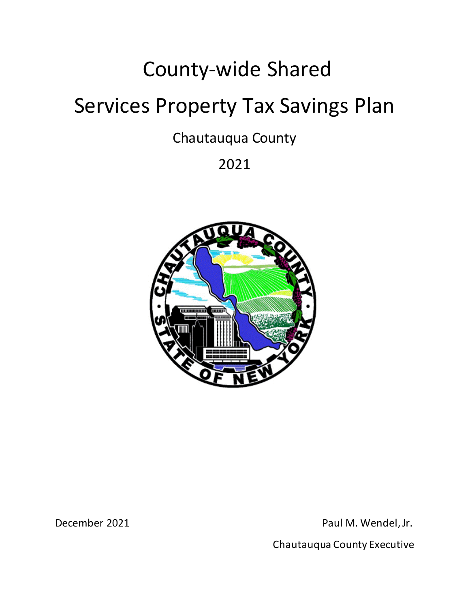# County-wide Shared

# Services Property Tax Savings Plan

Chautauqua County

2021



December 2021 **Paul M. Wendel, Jr.** Paul M. Wendel, Jr.

Chautauqua County Executive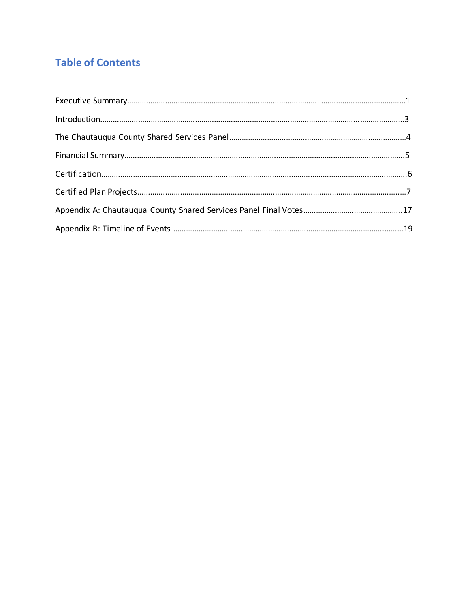## **Table of Contents**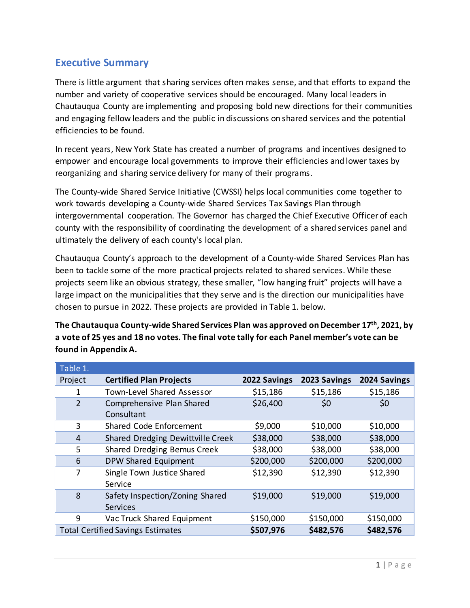#### **Executive Summary**

There is little argument that sharing services often makes sense, and that efforts to expand the number and variety of cooperative services should be encouraged. Many local leaders in Chautauqua County are implementing and proposing bold new directions for their communities and engaging fellow leaders and the public in discussions on shared services and the potential efficiencies to be found.

In recent years, New York State has created a number of programs and incentives designed to empower and encourage local governments to improve their efficiencies and lower taxes by reorganizing and sharing service delivery for many of their programs.

The County-wide Shared Service Initiative (CWSSI) helps local communities come together to work towards developing a County-wide Shared Services Tax Savings Plan through intergovernmental cooperation. The Governor has charged the Chief Executive Officer of each county with the responsibility of coordinating the development of a shared services panel and ultimately the delivery of each county's local plan.

Chautauqua County's approach to the development of a County-wide Shared Services Plan has been to tackle some of the more practical projects related to shared services. While these projects seem like an obvious strategy, these smaller, "low hanging fruit" projects will have a large impact on the municipalities that they serve and is the direction our municipalities have chosen to pursue in 2022. These projects are provided in Table 1. below.

**The Chautauqua County-wide Shared Services Plan was approved on December 17th, 2021, by a vote of 25 yes and 18 no votes. The final vote tally for each Panel member's vote can be found in Appendix A.**

| Table 1.       |                                             |              |              |              |
|----------------|---------------------------------------------|--------------|--------------|--------------|
| Project        | <b>Certified Plan Projects</b>              | 2022 Savings | 2023 Savings | 2024 Savings |
| 1              | Town-Level Shared Assessor                  | \$15,186     | \$15,186     | \$15,186     |
| $\overline{2}$ | Comprehensive Plan Shared<br>Consultant     | \$26,400     | \$0          | \$0          |
| 3              | Shared Code Enforcement                     | \$9,000      | \$10,000     | \$10,000     |
| $\overline{4}$ | Shared Dredging Dewittville Creek           | \$38,000     | \$38,000     | \$38,000     |
| 5              | Shared Dredging Bemus Creek                 | \$38,000     | \$38,000     | \$38,000     |
| 6              | DPW Shared Equipment                        | \$200,000    | \$200,000    | \$200,000    |
| 7              | Single Town Justice Shared<br>Service       | \$12,390     | \$12,390     | \$12,390     |
| 8              | Safety Inspection/Zoning Shared<br>Services | \$19,000     | \$19,000     | \$19,000     |
| 9              | Vac Truck Shared Equipment                  | \$150,000    | \$150,000    | \$150,000    |
|                | <b>Total Certified Savings Estimates</b>    | \$507,976    | \$482,576    | \$482,576    |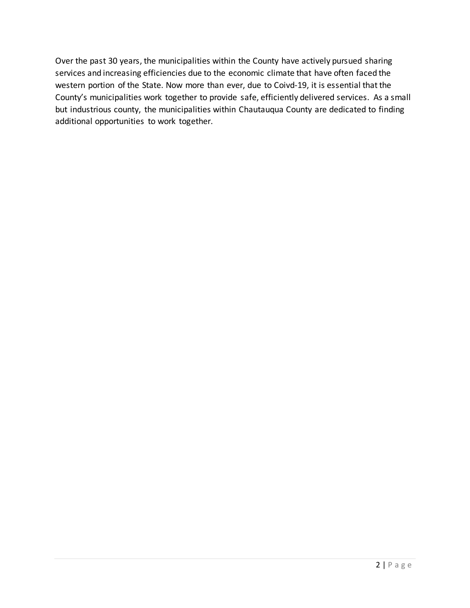Over the past 30 years, the municipalities within the County have actively pursued sharing services and increasing efficiencies due to the economic climate that have often faced the western portion of the State. Now more than ever, due to Coivd-19, it is essential that the County's municipalities work together to provide safe, efficiently delivered services. As a small but industrious county, the municipalities within Chautauqua County are dedicated to finding additional opportunities to work together.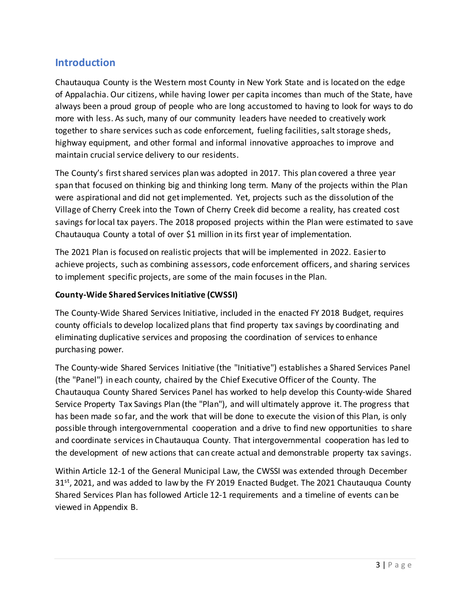#### **Introduction**

Chautauqua County is the Western most County in New York State and is located on the edge of Appalachia. Our citizens, while having lower per capita incomes than much of the State, have always been a proud group of people who are long accustomed to having to look for ways to do more with less. As such, many of our community leaders have needed to creatively work together to share services such as code enforcement, fueling facilities, salt storage sheds, highway equipment, and other formal and informal innovative approaches to improve and maintain crucial service delivery to our residents.

The County's first shared services plan was adopted in 2017. This plan covered a three year span that focused on thinking big and thinking long term. Many of the projects within the Plan were aspirational and did not get implemented. Yet, projects such as the dissolution of the Village of Cherry Creek into the Town of Cherry Creek did become a reality, has created cost savings for local tax payers. The 2018 proposed projects within the Plan were estimated to save Chautauqua County a total of over \$1 million in its first year of implementation.

The 2021 Plan is focused on realistic projects that will be implemented in 2022. Easier to achieve projects, such as combining assessors, code enforcement officers, and sharing services to implement specific projects, are some of the main focuses in the Plan.

#### **County-Wide Shared Services Initiative (CWSSI)**

The County-Wide Shared Services Initiative, included in the enacted FY 2018 Budget, requires county officials to develop localized plans that find property tax savings by coordinating and eliminating duplicative services and proposing the coordination of services to enhance purchasing power.

The County-wide Shared Services Initiative (the "Initiative") establishes a Shared Services Panel (the "Panel") in each county, chaired by the Chief Executive Officer of the County. The Chautauqua County Shared Services Panel has worked to help develop this County-wide Shared Service Property Tax Savings Plan (the "Plan"), and will ultimately approve it. The progress that has been made so far, and the work that will be done to execute the vision of this Plan, is only possible through intergovernmental cooperation and a drive to find new opportunities to share and coordinate services in Chautauqua County. That intergovernmental cooperation has led to the development of new actions that can create actual and demonstrable property tax savings.

Within Article 12-1 of the General Municipal Law, the CWSSI was extended through December  $31<sup>st</sup>$ , 2021, and was added to law by the FY 2019 Enacted Budget. The 2021 Chautauqua County Shared Services Plan has followed Article 12-1 requirements and a timeline of events can be viewed in Appendix B.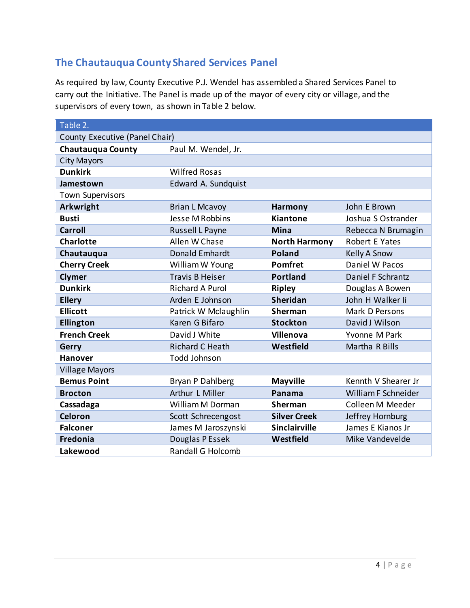## **The Chautauqua County Shared Services Panel**

As required by law, County Executive P.J. Wendel has assembled a Shared Services Panel to carry out the Initiative. The Panel is made up of the mayor of every city or village, and the supervisors of every town, as shown in Table 2 below.

| Table 2.                       |                          |                      |                     |
|--------------------------------|--------------------------|----------------------|---------------------|
| County Executive (Panel Chair) |                          |                      |                     |
| <b>Chautauqua County</b>       | Paul M. Wendel, Jr.      |                      |                     |
| <b>City Mayors</b>             |                          |                      |                     |
| <b>Dunkirk</b>                 | <b>Wilfred Rosas</b>     |                      |                     |
| Jamestown                      | Edward A. Sundquist      |                      |                     |
| <b>Town Supervisors</b>        |                          |                      |                     |
| Arkwright                      | <b>Brian L Mcavoy</b>    | <b>Harmony</b>       | John E Brown        |
| <b>Busti</b>                   | Jesse M Robbins          | <b>Kiantone</b>      | Joshua S Ostrander  |
| <b>Carroll</b>                 | Russell L Payne          | <b>Mina</b>          | Rebecca N Brumagin  |
| <b>Charlotte</b>               | Allen W Chase            | <b>North Harmony</b> | Robert E Yates      |
| Chautauqua                     | Donald Emhardt           | <b>Poland</b>        | Kelly A Snow        |
| <b>Cherry Creek</b>            | William W Young          | <b>Pomfret</b>       | Daniel W Pacos      |
| Clymer                         | <b>Travis B Heiser</b>   | <b>Portland</b>      | Daniel F Schrantz   |
| <b>Dunkirk</b>                 | <b>Richard A Purol</b>   | <b>Ripley</b>        | Douglas A Bowen     |
| <b>Ellery</b>                  | Arden E Johnson          | <b>Sheridan</b>      | John H Walker Ii    |
| <b>Ellicott</b>                | Patrick W Mclaughlin     | <b>Sherman</b>       | Mark D Persons      |
| <b>Ellington</b>               | Karen G Bifaro           | <b>Stockton</b>      | David J Wilson      |
| <b>French Creek</b>            | David J White            | <b>Villenova</b>     | Yvonne M Park       |
| Gerry                          | <b>Richard C Heath</b>   | Westfield            | Martha R Bills      |
| <b>Hanover</b>                 | Todd Johnson             |                      |                     |
| <b>Village Mayors</b>          |                          |                      |                     |
| <b>Bemus Point</b>             | Bryan P Dahlberg         | <b>Mayville</b>      | Kennth V Shearer Jr |
| <b>Brocton</b>                 | Arthur L Miller          | Panama               | William F Schneider |
| Cassadaga                      | William M Dorman         | <b>Sherman</b>       | Colleen M Meeder    |
| <b>Celoron</b>                 | Scott Schrecengost       | <b>Silver Creek</b>  | Jeffrey Hornburg    |
| <b>Falconer</b>                | James M Jaroszynski      | <b>Sinclairville</b> | James E Kianos Jr   |
| Fredonia                       | Douglas P Essek          | Westfield            | Mike Vandevelde     |
| <b>Lakewood</b>                | <b>Randall G Holcomb</b> |                      |                     |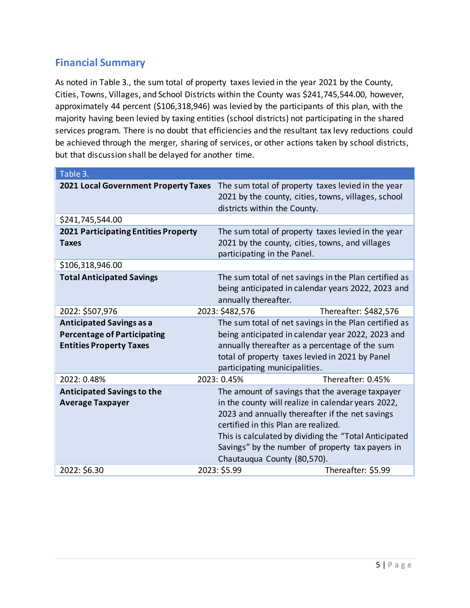## **Financial Summary**

As noted in Table 3., the sum total of property taxes levied in the year 2021 by the County, Cities, Towns, Villages, and School Districts within the County was \$241,745,544.00, however, approximately 44 percent (\$106,318,946) was levied by the participants of this plan, with the majority having been levied by taxing entities (school districts) not participating in the shared services program. There is no doubt that efficiencies and the resultant tax levy reductions could be achieved through the merger, sharing of services, or other actions taken by school districts, but that discussion shall be delayed for another time.

| Table 3.                                    |                                                       |                                                                                                             |  |  |
|---------------------------------------------|-------------------------------------------------------|-------------------------------------------------------------------------------------------------------------|--|--|
| 2021 Local Government Property Taxes        | districts within the County.                          | The sum total of property taxes levied in the year<br>2021 by the county, cities, towns, villages, school   |  |  |
| \$241,745,544.00                            |                                                       |                                                                                                             |  |  |
| <b>2021 Participating Entities Property</b> |                                                       | The sum total of property taxes levied in the year                                                          |  |  |
| <b>Taxes</b>                                | participating in the Panel.                           | 2021 by the county, cities, towns, and villages                                                             |  |  |
| \$106,318,946.00                            |                                                       |                                                                                                             |  |  |
| <b>Total Anticipated Savings</b>            | annually thereafter.                                  | The sum total of net savings in the Plan certified as<br>being anticipated in calendar years 2022, 2023 and |  |  |
| 2022: \$507,976                             | 2023: \$482,576                                       | Thereafter: \$482,576                                                                                       |  |  |
| <b>Anticipated Savings as a</b>             |                                                       | The sum total of net savings in the Plan certified as                                                       |  |  |
| <b>Percentage of Participating</b>          |                                                       | being anticipated in calendar year 2022, 2023 and                                                           |  |  |
| <b>Entities Property Taxes</b>              |                                                       | annually thereafter as a percentage of the sum                                                              |  |  |
|                                             |                                                       | total of property taxes levied in 2021 by Panel                                                             |  |  |
|                                             | participating municipalities.                         |                                                                                                             |  |  |
| 2022: 0.48%                                 | 2023: 0.45%                                           | Thereafter: 0.45%                                                                                           |  |  |
| <b>Anticipated Savings to the</b>           |                                                       | The amount of savings that the average taxpayer                                                             |  |  |
| <b>Average Taxpayer</b>                     |                                                       | in the county will realize in calendar years 2022,                                                          |  |  |
|                                             | 2023 and annually thereafter if the net savings       |                                                                                                             |  |  |
|                                             | certified in this Plan are realized.                  |                                                                                                             |  |  |
|                                             | This is calculated by dividing the "Total Anticipated |                                                                                                             |  |  |
|                                             |                                                       | Savings" by the number of property tax payers in                                                            |  |  |
|                                             | Chautauqua County (80,570).                           |                                                                                                             |  |  |
| 2022: \$6.30                                | 2023: \$5.99                                          | Thereafter: \$5.99                                                                                          |  |  |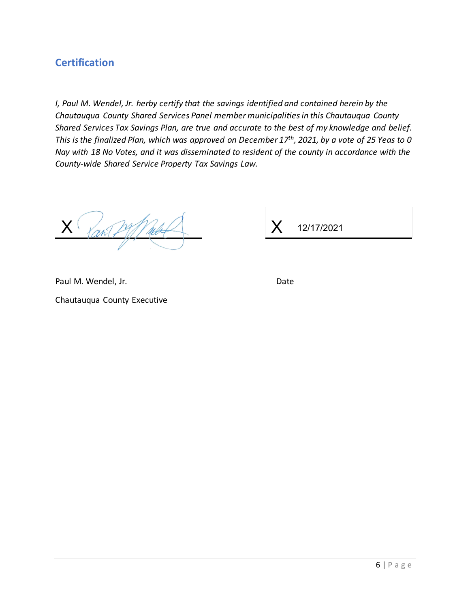### **Certification**

*I, Paul M. Wendel, Jr. herby certify that the savings identified and contained herein by the Chautauqua County Shared Services Panel member municipalities in this Chautauqua County Shared Services Tax Savings Plan, are true and accurate to the best of my knowledge and belief. This is the finalized Plan, which was approved on December 17th, 2021, by a vote of 25 Yeas to 0 Nay with 18 No Votes, and it was disseminated to resident of the county in accordance with the County-wide Shared Service Property Tax Savings Law.*

X

 $X$ 12/17/2021

Paul M. Wendel, Jr. Date

Chautauqua County Executive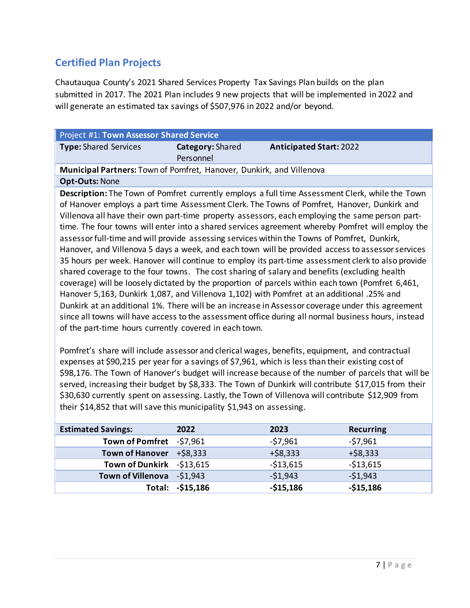## **Certified Plan Projects**

Chautauqua County's 2021 Shared Services Property Tax Savings Plan builds on the plan submitted in 2017. The 2021 Plan includes 9 new projects that will be implemented in 2022 and will generate an estimated tax savings of \$507,976 in 2022 and/or beyond.

| <b>Project #1: Town Assessor Shared Service</b>                      |                         |                                |  |  |
|----------------------------------------------------------------------|-------------------------|--------------------------------|--|--|
| Type: Shared Services                                                | <b>Category: Shared</b> | <b>Anticipated Start: 2022</b> |  |  |
|                                                                      | Personnel               |                                |  |  |
| Municipal Partners: Town of Pomfret, Hanover, Dunkirk, and Villenova |                         |                                |  |  |

#### **Opt-Outs:** None

**Description:** The Town of Pomfret currently employs a full time Assessment Clerk, while the Town of Hanover employs a part time Assessment Clerk. The Towns of Pomfret, Hanover, Dunkirk and Villenova all have their own part-time property assessors, each employing the same person parttime. The four towns will enter into a shared services agreement whereby Pomfret will employ the assessor full-time and will provide assessing services within the Towns of Pomfret, Dunkirk, Hanover, and Villenova 5 days a week, and each town will be provided access to assessor services 35 hours per week. Hanover will continue to employ its part-time assessment clerk to also provide shared coverage to the four towns. The cost sharing of salary and benefits (excluding health coverage) will be loosely dictated by the proportion of parcels within each town (Pomfret 6,461, Hanover 5,163, Dunkirk 1,087, and Villenova 1,102) with Pomfret at an additional .25% and Dunkirk at an additional 1%. There will be an increase in Assessor coverage under this agreement since all towns will have access to the assessment office during all normal business hours, instead of the part-time hours currently covered in each town.

Pomfret's share will include assessor and clerical wages, benefits, equipment, and contractual expenses at \$90,215 per year for a savings of \$7,961, which is less than their existing cost of \$98,176. The Town of Hanover's budget will increase because of the number of parcels that will be served, increasing their budget by \$8,333. The Town of Dunkirk will contribute \$17,015 from their \$30,630 currently spent on assessing. Lastly, the Town of Villenova will contribute \$12,909 from their \$14,852 that will save this municipality \$1,943 on assessing.

| <b>Estimated Savings:</b>  | 2022              | 2023       | <b>Recurring</b> |
|----------------------------|-------------------|------------|------------------|
| Town of Pomfret -\$7,961   |                   | $-57,961$  | $-57,961$        |
| Town of Hanover $+ $8,333$ |                   | $+ $8,333$ | $+ $8,333$       |
| Town of Dunkirk -\$13,615  |                   | $-$13,615$ | $-513,615$       |
| Town of Villenova -\$1,943 |                   | $-$1,943$  | $-51,943$        |
|                            | Total: - \$15,186 | $-$15,186$ | $-$15,186$       |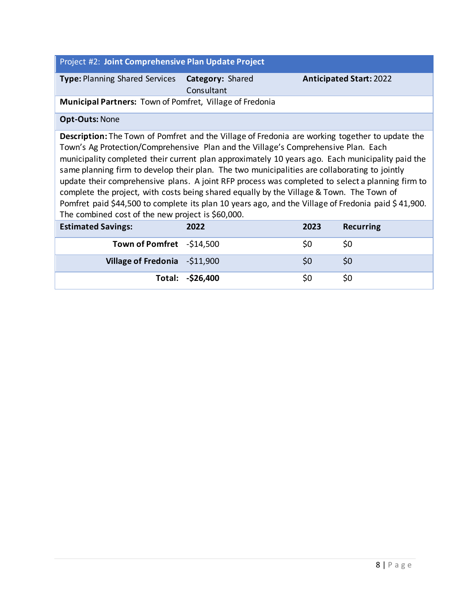| Project #2: Joint Comprehensive Plan Update Project                                                                                                                                                                                                                                                                                                                                                                                                                                                                                                                                                                                                                                                                                                    |                                |      |                                |  |  |
|--------------------------------------------------------------------------------------------------------------------------------------------------------------------------------------------------------------------------------------------------------------------------------------------------------------------------------------------------------------------------------------------------------------------------------------------------------------------------------------------------------------------------------------------------------------------------------------------------------------------------------------------------------------------------------------------------------------------------------------------------------|--------------------------------|------|--------------------------------|--|--|
| <b>Type: Planning Shared Services</b>                                                                                                                                                                                                                                                                                                                                                                                                                                                                                                                                                                                                                                                                                                                  | Category: Shared<br>Consultant |      | <b>Anticipated Start: 2022</b> |  |  |
| Municipal Partners: Town of Pomfret, Village of Fredonia                                                                                                                                                                                                                                                                                                                                                                                                                                                                                                                                                                                                                                                                                               |                                |      |                                |  |  |
| <b>Opt-Outs: None</b>                                                                                                                                                                                                                                                                                                                                                                                                                                                                                                                                                                                                                                                                                                                                  |                                |      |                                |  |  |
| Description: The Town of Pomfret and the Village of Fredonia are working together to update the<br>Town's Ag Protection/Comprehensive Plan and the Village's Comprehensive Plan. Each<br>municipality completed their current plan approximately 10 years ago. Each municipality paid the<br>same planning firm to develop their plan. The two municipalities are collaborating to jointly<br>update their comprehensive plans. A joint RFP process was completed to select a planning firm to<br>complete the project, with costs being shared equally by the Village & Town. The Town of<br>Pomfret paid \$44,500 to complete its plan 10 years ago, and the Village of Fredonia paid \$41,900.<br>The combined cost of the new project is \$60,000. |                                |      |                                |  |  |
| <b>Estimated Savings:</b>                                                                                                                                                                                                                                                                                                                                                                                                                                                                                                                                                                                                                                                                                                                              | 2022                           | 2023 | <b>Recurring</b>               |  |  |
| Town of Pomfret -\$14,500                                                                                                                                                                                                                                                                                                                                                                                                                                                                                                                                                                                                                                                                                                                              |                                | \$0  | \$0                            |  |  |
| Village of Fredonia - \$11,900                                                                                                                                                                                                                                                                                                                                                                                                                                                                                                                                                                                                                                                                                                                         |                                | \$0  | \$0                            |  |  |
|                                                                                                                                                                                                                                                                                                                                                                                                                                                                                                                                                                                                                                                                                                                                                        | Total: - \$26,400              | \$0  | \$0                            |  |  |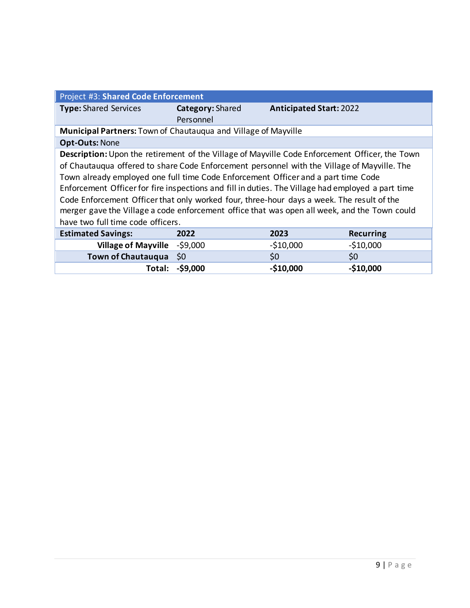| Project #3: Shared Code Enforcement                                                               |                  |                                |                  |  |
|---------------------------------------------------------------------------------------------------|------------------|--------------------------------|------------------|--|
| <b>Type: Shared Services</b>                                                                      | Category: Shared | <b>Anticipated Start: 2022</b> |                  |  |
|                                                                                                   | Personnel        |                                |                  |  |
| <b>Municipal Partners: Town of Chautauqua and Village of Mayville</b>                             |                  |                                |                  |  |
| <b>Opt-Outs: None</b>                                                                             |                  |                                |                  |  |
| Description: Upon the retirement of the Village of Mayville Code Enforcement Officer, the Town    |                  |                                |                  |  |
| of Chautauqua offered to share Code Enforcement personnel with the Village of Mayville. The       |                  |                                |                  |  |
| Town already employed one full time Code Enforcement Officer and a part time Code                 |                  |                                |                  |  |
| Enforcement Officer for fire inspections and fill in duties. The Village had employed a part time |                  |                                |                  |  |
| Code Enforcement Officer that only worked four, three-hour days a week. The result of the         |                  |                                |                  |  |
| merger gave the Village a code enforcement office that was open all week, and the Town could      |                  |                                |                  |  |
| have two full time code officers.                                                                 |                  |                                |                  |  |
| <b>Estimated Savings:</b>                                                                         | 2022             | 2023                           | <b>Recurring</b> |  |
| <b>Village of Mayville</b>                                                                        | $-59,000$        | $-510,000$                     | $-$10,000$       |  |
| <b>Town of Chautauqua</b>                                                                         | \$0              | \$0                            | \$0              |  |
| Total:                                                                                            | $-$ \$9,000      | $-$10,000$                     | $-$10,000$       |  |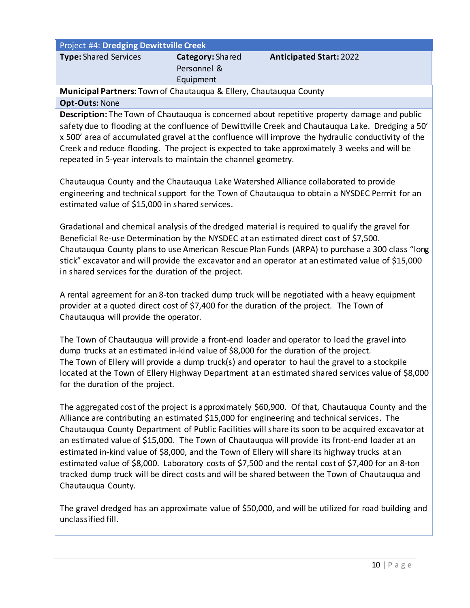| Project #4: Dredging Dewittville Creek |                                                     |                                |  |  |
|----------------------------------------|-----------------------------------------------------|--------------------------------|--|--|
| <b>Type: Shared Services</b>           | <b>Category: Shared</b><br>Personnel &<br>Equipment | <b>Anticipated Start: 2022</b> |  |  |
|                                        |                                                     |                                |  |  |

**Municipal Partners:** Town of Chautauqua & Ellery, Chautauqua County

#### **Opt-Outs:** None

**Description:** The Town of Chautauqua is concerned about repetitive property damage and public safety due to flooding at the confluence of Dewittville Creek and Chautauqua Lake. Dredging a 50' x 500' area of accumulated gravel at the confluence will improve the hydraulic conductivity of the Creek and reduce flooding. The project is expected to take approximately 3 weeks and will be repeated in 5-year intervals to maintain the channel geometry.

Chautauqua County and the Chautauqua Lake Watershed Alliance collaborated to provide engineering and technical support for the Town of Chautauqua to obtain a NYSDEC Permit for an estimated value of \$15,000 in shared services.

Gradational and chemical analysis of the dredged material is required to qualify the gravel for Beneficial Re-use Determination by the NYSDEC at an estimated direct cost of \$7,500. Chautauqua County plans to use American Rescue Plan Funds (ARPA) to purchase a 300 class "long stick" excavator and will provide the excavator and an operator at an estimated value of \$15,000 in shared services for the duration of the project.

A rental agreement for an 8-ton tracked dump truck will be negotiated with a heavy equipment provider at a quoted direct cost of \$7,400 for the duration of the project. The Town of Chautauqua will provide the operator.

The Town of Chautauqua will provide a front-end loader and operator to load the gravel into dump trucks at an estimated in-kind value of \$8,000 for the duration of the project. The Town of Ellery will provide a dump truck(s) and operator to haul the gravel to a stockpile located at the Town of Ellery Highway Department at an estimated shared services value of \$8,000 for the duration of the project.

The aggregated cost of the project is approximately \$60,900. Of that, Chautauqua County and the Alliance are contributing an estimated \$15,000 for engineering and technical services. The Chautauqua County Department of Public Facilities will share its soon to be acquired excavator at an estimated value of \$15,000. The Town of Chautauqua will provide its front-end loader at an estimated in-kind value of \$8,000, and the Town of Ellery will share its highway trucks at an estimated value of \$8,000. Laboratory costs of \$7,500 and the rental cost of \$7,400 for an 8-ton tracked dump truck will be direct costs and will be shared between the Town of Chautauqua and Chautauqua County.

The gravel dredged has an approximate value of \$50,000, and will be utilized for road building and unclassified fill.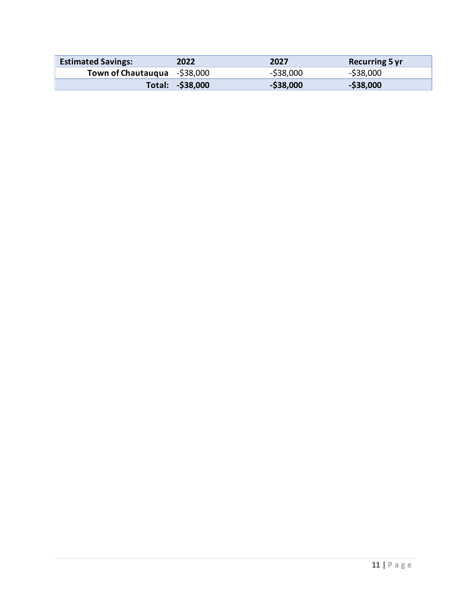| <b>Estimated Savings:</b>    | 2022             | 2027         | <b>Recurring 5 yr</b> |
|------------------------------|------------------|--------------|-----------------------|
| Town of Chautauqua -\$38,000 |                  | $-$ \$38,000 | $-$ \$38,000          |
|                              | Total: -\$38,000 | $-$ \$38,000 | $-$ \$38,000          |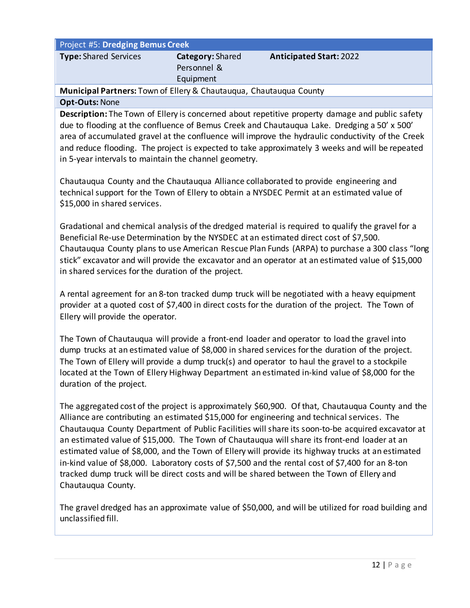| <b>Project #5: Dredging Bemus Creek</b>                                   |                         |                                |  |  |  |
|---------------------------------------------------------------------------|-------------------------|--------------------------------|--|--|--|
| <b>Type: Shared Services</b>                                              | <b>Category:</b> Shared | <b>Anticipated Start: 2022</b> |  |  |  |
|                                                                           | Personnel &             |                                |  |  |  |
|                                                                           | Equipment               |                                |  |  |  |
| <b>Municipal Partners:</b> Town of Ellery & Chautauqua, Chautauqua County |                         |                                |  |  |  |

#### **Opt-Outs:** None

**Description:** The Town of Ellery is concerned about repetitive property damage and public safety due to flooding at the confluence of Bemus Creek and Chautauqua Lake. Dredging a 50' x 500' area of accumulated gravel at the confluence will improve the hydraulic conductivity of the Creek and reduce flooding. The project is expected to take approximately 3 weeks and will be repeated in 5-year intervals to maintain the channel geometry.

Chautauqua County and the Chautauqua Alliance collaborated to provide engineering and technical support for the Town of Ellery to obtain a NYSDEC Permit at an estimated value of \$15,000 in shared services.

Gradational and chemical analysis of the dredged material is required to qualify the gravel for a Beneficial Re-use Determination by the NYSDEC at an estimated direct cost of \$7,500. Chautauqua County plans to use American Rescue Plan Funds (ARPA) to purchase a 300 class "long stick" excavator and will provide the excavator and an operator at an estimated value of \$15,000 in shared services for the duration of the project.

A rental agreement for an 8-ton tracked dump truck will be negotiated with a heavy equipment provider at a quoted cost of \$7,400 in direct costs for the duration of the project. The Town of Ellery will provide the operator.

The Town of Chautauqua will provide a front-end loader and operator to load the gravel into dump trucks at an estimated value of \$8,000 in shared services for the duration of the project. The Town of Ellery will provide a dump truck(s) and operator to haul the gravel to a stockpile located at the Town of Ellery Highway Department an estimated in-kind value of \$8,000 for the duration of the project.

The aggregated cost of the project is approximately \$60,900. Of that, Chautauqua County and the Alliance are contributing an estimated \$15,000 for engineering and technical services. The Chautauqua County Department of Public Facilities will share its soon-to-be acquired excavator at an estimated value of \$15,000. The Town of Chautauqua will share its front-end loader at an estimated value of \$8,000, and the Town of Ellery will provide its highway trucks at an estimated in-kind value of \$8,000. Laboratory costs of \$7,500 and the rental cost of \$7,400 for an 8-ton tracked dump truck will be direct costs and will be shared between the Town of Ellery and Chautauqua County.

The gravel dredged has an approximate value of \$50,000, and will be utilized for road building and unclassified fill.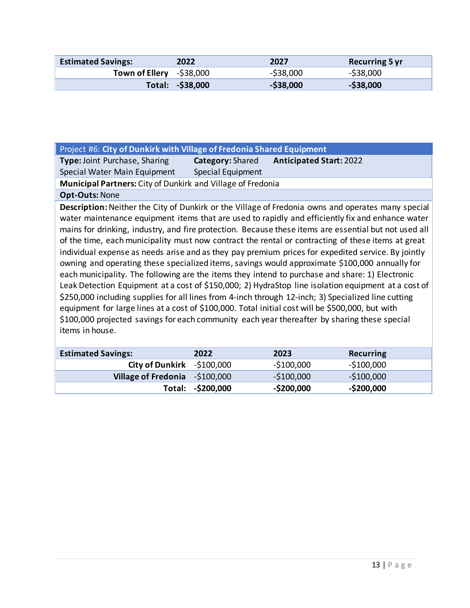| <b>Estimated Savings:</b> | 2022             | 2027         | <b>Recurring 5 yr</b> |
|---------------------------|------------------|--------------|-----------------------|
| Town of Ellery $-538,000$ |                  | $-$ \$38,000 | $-$ \$38,000          |
|                           | Total: -\$38,000 | $-$ \$38,000 | $-$ \$38,000          |

| Project #6: City of Dunkirk with Village of Fredonia Shared Equipment                                                                                                                                                                                                                                                                                                                                                                                                                                                                                                                                                                                                                                                                                                                                                                                                                                                                                                                                                                                                                                                                                                 |                         |                                |                  |
|-----------------------------------------------------------------------------------------------------------------------------------------------------------------------------------------------------------------------------------------------------------------------------------------------------------------------------------------------------------------------------------------------------------------------------------------------------------------------------------------------------------------------------------------------------------------------------------------------------------------------------------------------------------------------------------------------------------------------------------------------------------------------------------------------------------------------------------------------------------------------------------------------------------------------------------------------------------------------------------------------------------------------------------------------------------------------------------------------------------------------------------------------------------------------|-------------------------|--------------------------------|------------------|
|                                                                                                                                                                                                                                                                                                                                                                                                                                                                                                                                                                                                                                                                                                                                                                                                                                                                                                                                                                                                                                                                                                                                                                       |                         |                                |                  |
| <b>Type: Joint Purchase, Sharing</b>                                                                                                                                                                                                                                                                                                                                                                                                                                                                                                                                                                                                                                                                                                                                                                                                                                                                                                                                                                                                                                                                                                                                  | <b>Category: Shared</b> | <b>Anticipated Start: 2022</b> |                  |
| Special Water Main Equipment                                                                                                                                                                                                                                                                                                                                                                                                                                                                                                                                                                                                                                                                                                                                                                                                                                                                                                                                                                                                                                                                                                                                          | Special Equipment       |                                |                  |
| Municipal Partners: City of Dunkirk and Village of Fredonia                                                                                                                                                                                                                                                                                                                                                                                                                                                                                                                                                                                                                                                                                                                                                                                                                                                                                                                                                                                                                                                                                                           |                         |                                |                  |
| <b>Opt-Outs: None</b>                                                                                                                                                                                                                                                                                                                                                                                                                                                                                                                                                                                                                                                                                                                                                                                                                                                                                                                                                                                                                                                                                                                                                 |                         |                                |                  |
| Description: Neither the City of Dunkirk or the Village of Fredonia owns and operates many special<br>water maintenance equipment items that are used to rapidly and efficiently fix and enhance water<br>mains for drinking, industry, and fire protection. Because these items are essential but not used all<br>of the time, each municipality must now contract the rental or contracting of these items at great<br>individual expense as needs arise and as they pay premium prices for expedited service. By jointly<br>owning and operating these specialized items, savings would approximate \$100,000 annually for<br>each municipality. The following are the items they intend to purchase and share: 1) Electronic<br>Leak Detection Equipment at a cost of \$150,000; 2) HydraStop line isolation equipment at a cost of<br>\$250,000 including supplies for all lines from 4-inch through 12-inch; 3) Specialized line cutting<br>equipment for large lines at a cost of \$100,000. Total initial cost will be \$500,000, but with<br>\$100,000 projected savings for each community each year thereafter by sharing these special<br>items in house. |                         |                                |                  |
| <b>Estimated Savings:</b>                                                                                                                                                                                                                                                                                                                                                                                                                                                                                                                                                                                                                                                                                                                                                                                                                                                                                                                                                                                                                                                                                                                                             | 2022                    | 2023                           | <b>Recurring</b> |
| <b>City of Dunkirk</b>                                                                                                                                                                                                                                                                                                                                                                                                                                                                                                                                                                                                                                                                                                                                                                                                                                                                                                                                                                                                                                                                                                                                                | $-$100,000$             | $-$100,000$                    | $-$100,000$      |
| <b>Village of Fredonia</b>                                                                                                                                                                                                                                                                                                                                                                                                                                                                                                                                                                                                                                                                                                                                                                                                                                                                                                                                                                                                                                                                                                                                            | $-$100,000$             | $-$100,000$                    | $-$100,000$      |

**Total: -\$200,000 -\$200,000 -\$200,000**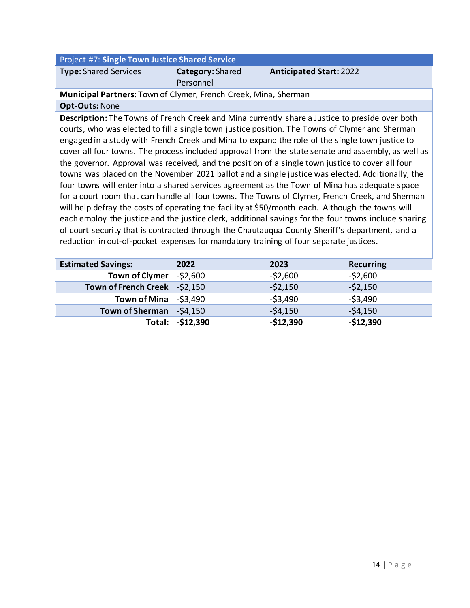| <b>Project #7: Single Town Justice Shared Service</b> |                         |                                |
|-------------------------------------------------------|-------------------------|--------------------------------|
| <b>Type:</b> Shared Services                          | <b>Category:</b> Shared | <b>Anticipated Start: 2022</b> |

Personnel

**Municipal Partners:** Town of Clymer, French Creek, Mina, Sherman

#### **Opt-Outs:** None

**Description:** The Towns of French Creek and Mina currently share a Justice to preside over both courts, who was elected to fill a single town justice position. The Towns of Clymer and Sherman engaged in a study with French Creek and Mina to expand the role of the single town justice to cover all four towns. The process included approval from the state senate and assembly, as well as the governor. Approval was received, and the position of a single town justice to cover all four towns was placed on the November 2021 ballot and a single justice was elected. Additionally, the four towns will enter into a shared services agreement as the Town of Mina has adequate space for a court room that can handle all four towns. The Towns of Clymer, French Creek, and Sherman will help defray the costs of operating the facility at \$50/month each. Although the towns will each employ the justice and the justice clerk, additional savings for the four towns include sharing of court security that is contracted through the Chautauqua County Sheriff's department, and a reduction in out-of-pocket expenses for mandatory training of four separate justices.

| <b>Estimated Savings:</b>     | 2022              | 2023       | <b>Recurring</b> |
|-------------------------------|-------------------|------------|------------------|
| Town of Clymer -\$2,600       |                   | $-52,600$  | $-52,600$        |
| Town of French Creek -\$2,150 |                   | $-52,150$  | $-52,150$        |
| Town of Mina $-53,490$        |                   | $-53,490$  | $-53,490$        |
| Town of Sherman -\$4,150      |                   | $-54,150$  | $-54,150$        |
|                               | Total: - \$12,390 | $-$12,390$ | $-$12,390$       |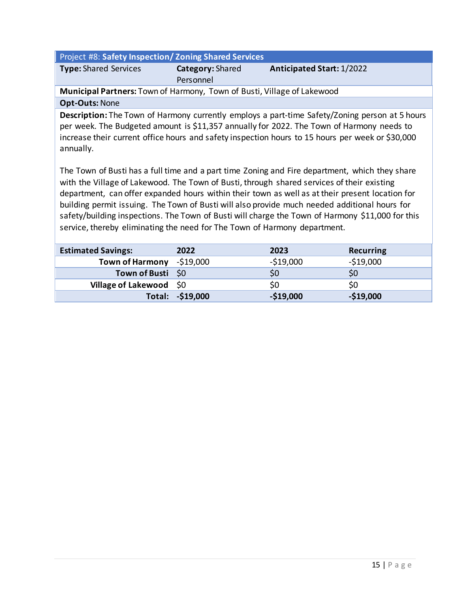| Project #8: Safety Inspection/Zoning Shared Services                                                                                                                                                                                                                                                                                                                                                                                                                                                                                                                              |                               |                                  |                  |
|-----------------------------------------------------------------------------------------------------------------------------------------------------------------------------------------------------------------------------------------------------------------------------------------------------------------------------------------------------------------------------------------------------------------------------------------------------------------------------------------------------------------------------------------------------------------------------------|-------------------------------|----------------------------------|------------------|
| <b>Type:</b> Shared Services                                                                                                                                                                                                                                                                                                                                                                                                                                                                                                                                                      | Category: Shared<br>Personnel | <b>Anticipated Start: 1/2022</b> |                  |
| Municipal Partners: Town of Harmony, Town of Busti, Village of Lakewood                                                                                                                                                                                                                                                                                                                                                                                                                                                                                                           |                               |                                  |                  |
| <b>Opt-Outs: None</b>                                                                                                                                                                                                                                                                                                                                                                                                                                                                                                                                                             |                               |                                  |                  |
| Description: The Town of Harmony currently employs a part-time Safety/Zoning person at 5 hours<br>per week. The Budgeted amount is \$11,357 annually for 2022. The Town of Harmony needs to<br>increase their current office hours and safety inspection hours to 15 hours per week or \$30,000<br>annually.                                                                                                                                                                                                                                                                      |                               |                                  |                  |
| The Town of Busti has a full time and a part time Zoning and Fire department, which they share<br>with the Village of Lakewood. The Town of Busti, through shared services of their existing<br>department, can offer expanded hours within their town as well as at their present location for<br>building permit issuing. The Town of Busti will also provide much needed additional hours for<br>safety/building inspections. The Town of Busti will charge the Town of Harmony \$11,000 for this<br>service, thereby eliminating the need for The Town of Harmony department. |                               |                                  |                  |
| <b>Estimated Savings:</b>                                                                                                                                                                                                                                                                                                                                                                                                                                                                                                                                                         | 2022                          | 2023                             | <b>Recurring</b> |
| <b>Town of Harmony</b>                                                                                                                                                                                                                                                                                                                                                                                                                                                                                                                                                            | $-$19,000$                    | $-$19,000$                       | $-$19,000$       |
| <b>Town of Busti</b>                                                                                                                                                                                                                                                                                                                                                                                                                                                                                                                                                              | \$0                           | \$0                              | \$0              |
| <b>Village of Lakewood</b>                                                                                                                                                                                                                                                                                                                                                                                                                                                                                                                                                        | \$0                           | \$0                              | \$0              |
| Total:                                                                                                                                                                                                                                                                                                                                                                                                                                                                                                                                                                            | $-$19,000$                    | $-$19,000$                       | $-$19,000$       |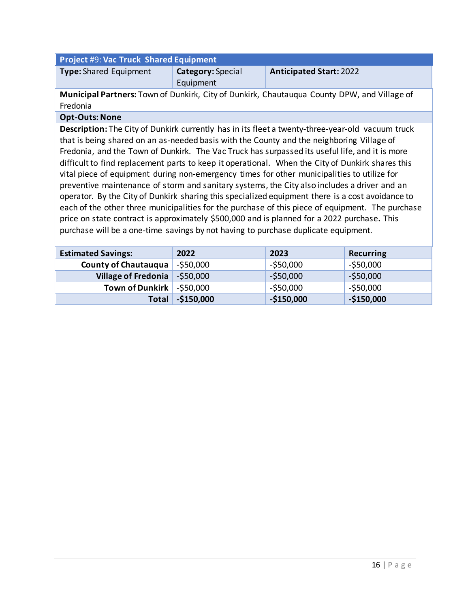| <b>Project #9: Vac Truck Shared Equipment</b>                                               |                          |                                |
|---------------------------------------------------------------------------------------------|--------------------------|--------------------------------|
| <b>Type:</b> Shared Equipment                                                               | <b>Category:</b> Special | <b>Anticipated Start: 2022</b> |
|                                                                                             | Equipment                |                                |
| Municipal Partners: Town of Dunkirk, City of Dunkirk, Chautauqua County DPW, and Village of |                          |                                |

Fredonia

#### **Opt-Outs: None**

**Description:** The City of Dunkirk currently has in its fleet a twenty-three-year-old vacuum truck that is being shared on an as-needed basis with the County and the neighboring Village of Fredonia, and the Town of Dunkirk. The Vac Truck has surpassed its useful life, and it is more difficult to find replacement parts to keep it operational. When the City of Dunkirk shares this vital piece of equipment during non-emergency times for other municipalities to utilize for preventive maintenance of storm and sanitary systems, the City also includes a driver and an operator. By the City of Dunkirk sharing this specialized equipment there is a cost avoidance to each of the other three municipalities for the purchase of this piece of equipment. The purchase price on state contract is approximately \$500,000 and is planned for a 2022 purchase**.** This purchase will be a one-time savings by not having to purchase duplicate equipment.

| <b>Estimated Savings:</b>   | 2022             | 2023         | <b>Recurring</b> |
|-----------------------------|------------------|--------------|------------------|
| <b>County of Chautauqua</b> | -\$50,000        | $-$ \$50,000 | $-$ \$50,000     |
| Village of Fredonia         | $-$ \$50,000     | $-$ \$50,000 | $-$ \$50,000     |
| Town of Dunkirk             | $\sim$ -\$50,000 | $-$ \$50,000 | $-$ \$50,000     |
| <b>Total</b>                | $-$150,000$      | $-$150,000$  | $-$150,000$      |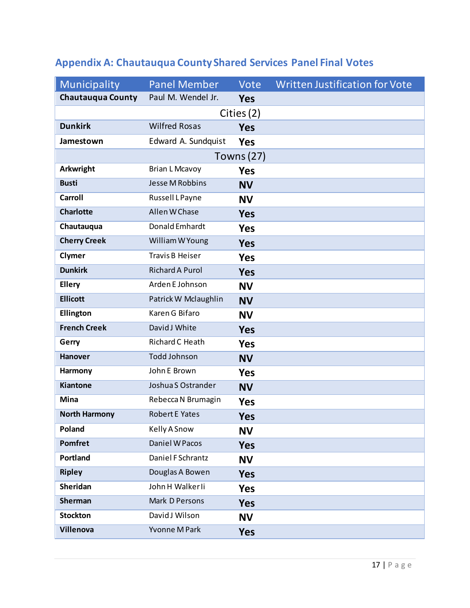| Municipality             | <b>Panel Member</b>    | Vote              | <b>Written Justification for Vote</b> |
|--------------------------|------------------------|-------------------|---------------------------------------|
| <b>Chautauqua County</b> | Paul M. Wendel Jr.     | <b>Yes</b>        |                                       |
| Cities (2)               |                        |                   |                                       |
| <b>Dunkirk</b>           | <b>Wilfred Rosas</b>   | <b>Yes</b>        |                                       |
| Jamestown                | Edward A. Sundquist    | <b>Yes</b>        |                                       |
|                          |                        | <b>Towns (27)</b> |                                       |
| Arkwright                | <b>Brian L Mcavoy</b>  | <b>Yes</b>        |                                       |
| <b>Busti</b>             | <b>Jesse M Robbins</b> | <b>NV</b>         |                                       |
| <b>Carroll</b>           | Russell L Payne        | <b>NV</b>         |                                       |
| <b>Charlotte</b>         | Allen W Chase          | <b>Yes</b>        |                                       |
| Chautauqua               | Donald Emhardt         | <b>Yes</b>        |                                       |
| <b>Cherry Creek</b>      | William W Young        | <b>Yes</b>        |                                       |
| Clymer                   | Travis B Heiser        | <b>Yes</b>        |                                       |
| <b>Dunkirk</b>           | <b>Richard A Purol</b> | <b>Yes</b>        |                                       |
| <b>Ellery</b>            | Arden E Johnson        | <b>NV</b>         |                                       |
| <b>Ellicott</b>          | Patrick W Mclaughlin   | <b>NV</b>         |                                       |
| Ellington                | Karen G Bifaro         | <b>NV</b>         |                                       |
| <b>French Creek</b>      | David J White          | <b>Yes</b>        |                                       |
| Gerry                    | Richard C Heath        | <b>Yes</b>        |                                       |
| <b>Hanover</b>           | <b>Todd Johnson</b>    | <b>NV</b>         |                                       |
| Harmony                  | John E Brown           | <b>Yes</b>        |                                       |
| <b>Kiantone</b>          | Joshua S Ostrander     | <b>NV</b>         |                                       |
| <b>Mina</b>              | Rebecca N Brumagin     | <b>Yes</b>        |                                       |
| <b>North Harmony</b>     | <b>Robert E Yates</b>  | <b>Yes</b>        |                                       |
| Poland                   | Kelly A Snow           | <b>NV</b>         |                                       |
| <b>Pomfret</b>           | Daniel W Pacos         | <b>Yes</b>        |                                       |
| <b>Portland</b>          | Daniel F Schrantz      | <b>NV</b>         |                                       |
| <b>Ripley</b>            | Douglas A Bowen        | <b>Yes</b>        |                                       |
| Sheridan                 | John H Walker Ii       | <b>Yes</b>        |                                       |
| Sherman                  | Mark D Persons         | <b>Yes</b>        |                                       |
| <b>Stockton</b>          | David J Wilson         | <b>NV</b>         |                                       |
| Villenova                | Yvonne M Park          | <b>Yes</b>        |                                       |

## **Appendix A: Chautauqua County Shared Services Panel Final Votes**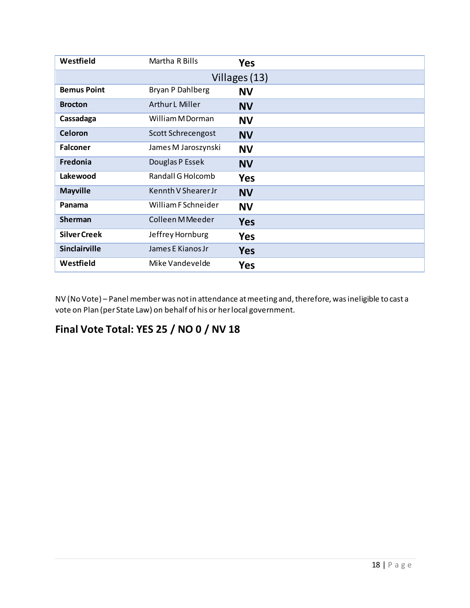| Westfield            | Martha R Bills         | <b>Yes</b> |
|----------------------|------------------------|------------|
| Villages (13)        |                        |            |
| <b>Bemus Point</b>   | Bryan P Dahlberg       | <b>NV</b>  |
| <b>Brocton</b>       | <b>Arthur L Miller</b> | <b>NV</b>  |
| Cassadaga            | William M Dorman       | <b>NV</b>  |
| Celoron              | Scott Schrecengost     | <b>NV</b>  |
| <b>Falconer</b>      | James M Jaroszynski    | <b>NV</b>  |
| Fredonia             | Douglas P Essek        | <b>NV</b>  |
| Lakewood             | Randall G Holcomb      | <b>Yes</b> |
| <b>Mayville</b>      | Kennth V Shearer Jr    | <b>NV</b>  |
| Panama               | William F Schneider    | <b>NV</b>  |
| <b>Sherman</b>       | Colleen M Meeder       | <b>Yes</b> |
| <b>Silver Creek</b>  | Jeffrey Hornburg       | <b>Yes</b> |
| <b>Sinclairville</b> | James E Kianos Jr      | <b>Yes</b> |
| Westfield            | Mike Vandevelde        | <b>Yes</b> |

NV (No Vote) – Panel member was not in attendance at meeting and, therefore, was ineligible to cast a vote on Plan (per State Law) on behalf of his or her local government.

## **Final Vote Total: YES 25 / NO 0 / NV 18**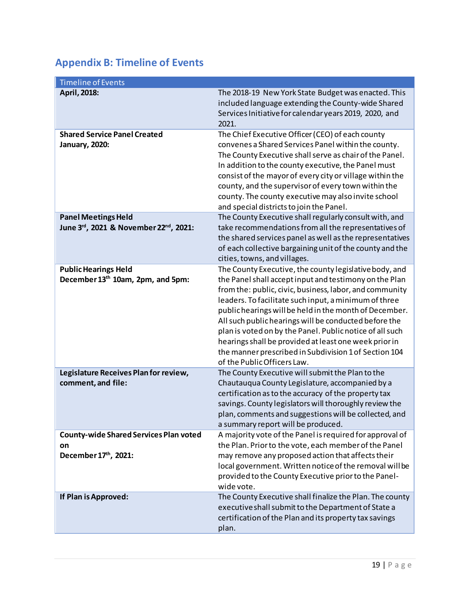## **Appendix B: Timeline of Events**

| <b>Timeline of Events</b>                                                   |                                                                                                                                                                                                                                                                                                                                                                                                                                                                                                                                                                      |
|-----------------------------------------------------------------------------|----------------------------------------------------------------------------------------------------------------------------------------------------------------------------------------------------------------------------------------------------------------------------------------------------------------------------------------------------------------------------------------------------------------------------------------------------------------------------------------------------------------------------------------------------------------------|
| April, 2018:                                                                | The 2018-19 New York State Budget was enacted. This<br>included language extending the County-wide Shared<br>Services Initiative for calendar years 2019, 2020, and<br>2021.                                                                                                                                                                                                                                                                                                                                                                                         |
| <b>Shared Service Panel Created</b><br><b>January, 2020:</b>                | The Chief Executive Officer (CEO) of each county<br>convenes a Shared Services Panel within the county.<br>The County Executive shall serve as chair of the Panel.<br>In addition to the county executive, the Panel must<br>consist of the mayor of every city or village within the<br>county, and the supervisor of every town within the<br>county. The county executive may also invite school<br>and special districts to join the Panel.                                                                                                                      |
| <b>Panel Meetings Held</b><br>June 3rd, 2021 & November 22nd, 2021:         | The County Executive shall regularly consult with, and<br>take recommendations from all the representatives of<br>the shared services panel as well as the representatives<br>of each collective bargaining unit of the county and the<br>cities, towns, and villages.                                                                                                                                                                                                                                                                                               |
| <b>Public Hearings Held</b><br>December 13th 10am, 2pm, and 5pm:            | The County Executive, the county legislative body, and<br>the Panel shall accept input and testimony on the Plan<br>from the: public, civic, business, labor, and community<br>leaders. To facilitate such input, a minimum of three<br>public hearings will be held in the month of December.<br>All such public hearings will be conducted before the<br>plan is voted on by the Panel. Public notice of all such<br>hearings shall be provided at least one week prior in<br>the manner prescribed in Subdivision 1 of Section 104<br>of the Public Officers Law. |
| Legislature Receives Plan for review,<br>comment, and file:                 | The County Executive will submit the Plan to the<br>Chautauqua County Legislature, accompanied by a<br>certification as to the accuracy of the property tax<br>savings. County legislators will thoroughly review the<br>plan, comments and suggestions will be collected, and<br>a summary report will be produced.                                                                                                                                                                                                                                                 |
| <b>County-wide Shared Services Plan voted</b><br>on<br>December 17th, 2021: | A majority vote of the Panel is required for approval of<br>the Plan. Prior to the vote, each member of the Panel<br>may remove any proposed action that affects their<br>local government. Written notice of the removal will be<br>provided to the County Executive prior to the Panel-<br>wide vote.                                                                                                                                                                                                                                                              |
| If Plan is Approved:                                                        | The County Executive shall finalize the Plan. The county<br>executive shall submit to the Department of State a<br>certification of the Plan and its property tax savings<br>plan.                                                                                                                                                                                                                                                                                                                                                                                   |